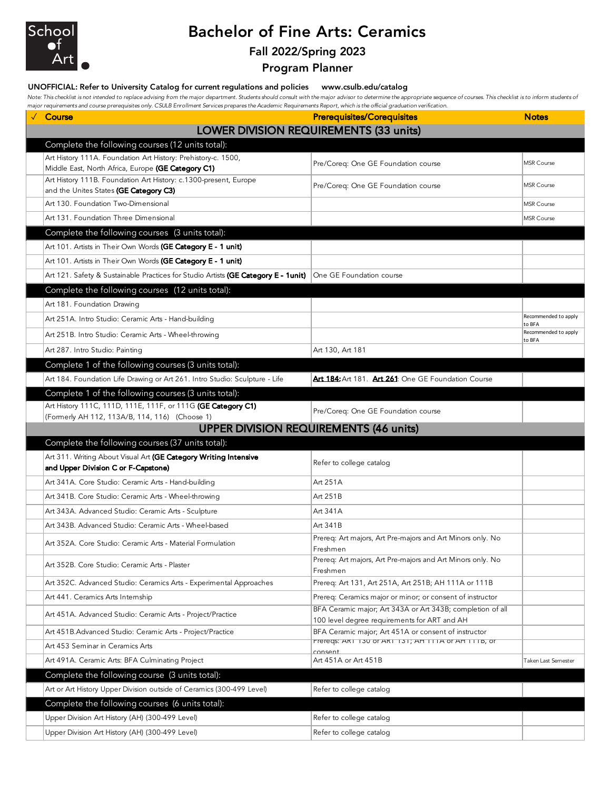

## Bachelor of Fine Arts: Ceramics

## Fall 2022/Spring 2023

Program Planner

#### UNOFFICIAL: Refer to University Catalog for current regulations and policies www.csulb.edu/catalog

Note: This checklist is not intended to replace advising from the major department. Students should consult with the major advisor to determine the appropriate sequence of courses. This checklist is to inform students of *major requirements and course prerequisites only. CSULB Enrollment Services prepares the Academic Requirements Report, which is the official graduation verification.*

| √ Course                                                                                                               | <b>Prerequisites/Corequisites</b>                                                                    | <b>Notes</b>                   |
|------------------------------------------------------------------------------------------------------------------------|------------------------------------------------------------------------------------------------------|--------------------------------|
| LOWER DIVISION REQUIREMENTS (33 units)                                                                                 |                                                                                                      |                                |
| Complete the following courses (12 units total):                                                                       |                                                                                                      |                                |
| Art History 111A. Foundation Art History: Prehistory-c. 1500,                                                          | Pre/Coreq: One GE Foundation course                                                                  | <b>MSR Course</b>              |
| Middle East, North Africa, Europe (GE Category C1)<br>Art History 111B. Foundation Art History: c.1300-present, Europe |                                                                                                      |                                |
| and the Unites States (GE Category C3)                                                                                 | Pre/Coreq: One GE Foundation course                                                                  | <b>MSR Course</b>              |
| Art 130. Foundation Two-Dimensional                                                                                    |                                                                                                      | <b>MSR Course</b>              |
| Art 131. Foundation Three Dimensional                                                                                  |                                                                                                      | <b>MSR Course</b>              |
| Complete the following courses (3 units total):                                                                        |                                                                                                      |                                |
| Art 101. Artists in Their Own Words (GE Category E - 1 unit)                                                           |                                                                                                      |                                |
| Art 101. Artists in Their Own Words (GE Category E - 1 unit)                                                           |                                                                                                      |                                |
| Art 121. Safety & Sustainable Practices for Studio Artists (GE Category E - 1unit)                                     | One GE Foundation course                                                                             |                                |
| Complete the following courses (12 units total):                                                                       |                                                                                                      |                                |
| Art 181. Foundation Drawing                                                                                            |                                                                                                      |                                |
| Art 251A. Intro Studio: Ceramic Arts - Hand-building                                                                   |                                                                                                      | Recommended to apply           |
| Art 251B. Intro Studio: Ceramic Arts - Wheel-throwing                                                                  |                                                                                                      | to BFA<br>Recommended to apply |
| Art 287. Intro Studio: Painting                                                                                        | Art 130, Art 181                                                                                     | to BFA                         |
| Complete 1 of the following courses (3 units total):                                                                   |                                                                                                      |                                |
| Art 184. Foundation Life Drawing or Art 261. Intro Studio: Sculpture - Life                                            | Art 184: Art 181. Art 261: One GE Foundation Course                                                  |                                |
| Complete 1 of the following courses (3 units total):                                                                   |                                                                                                      |                                |
| Art History 111C, 111D, 111E, 111F, or 111G (GE Category C1)                                                           |                                                                                                      |                                |
| (Formerly AH 112, 113A/B, 114, 116) (Choose 1)                                                                         | Pre/Coreq: One GE Foundation course                                                                  |                                |
| <b>UPPER DIVISION REQUIREMENTS (46 units)</b>                                                                          |                                                                                                      |                                |
| Complete the following courses (37 units total):                                                                       |                                                                                                      |                                |
|                                                                                                                        |                                                                                                      |                                |
| Art 311. Writing About Visual Art (GE Category Writing Intensive                                                       | Refer to college catalog                                                                             |                                |
| and Upper Division C or F-Capstone)                                                                                    |                                                                                                      |                                |
| Art 341A. Core Studio: Ceramic Arts - Hand-building                                                                    | Art 251A                                                                                             |                                |
| Art 341B. Core Studio: Ceramic Arts - Wheel-throwing                                                                   | Art 251B                                                                                             |                                |
| Art 343A. Advanced Studio: Ceramic Arts - Sculpture                                                                    | Art 341A                                                                                             |                                |
| Art 343B. Advanced Studio: Ceramic Arts - Wheel-based                                                                  | Art 341B                                                                                             |                                |
| Art 352A. Core Studio: Ceramic Arts - Material Formulation                                                             | Prereg: Art majors, Art Pre-majors and Art Minors only. No<br>Freshmen                               |                                |
|                                                                                                                        | Prereq: Art majors, Art Pre-majors and Art Minors only. No                                           |                                |
| Art 352B. Core Studio: Ceramic Arts - Plaster                                                                          | Freshmen                                                                                             |                                |
| Art 352C. Advanced Studio: Ceramics Arts - Experimental Approaches                                                     | Prereq: Art 131, Art 251A, Art 251B; AH 111A or 111B                                                 |                                |
| Art 441. Ceramics Arts Internship                                                                                      | Prereq: Ceramics major or minor; or consent of instructor                                            |                                |
| Art 451A. Advanced Studio: Ceramic Arts - Project/Practice                                                             | BFA Ceramic major; Art 343A or Art 343B; completion of all                                           |                                |
| Art 451B. Advanced Studio: Ceramic Arts - Project/Practice                                                             | 100 level degree requirements for ART and AH<br>BFA Ceramic major; Art 451A or consent of instructor |                                |
| Art 453 Seminar in Ceramics Arts                                                                                       | Prereqs: ART T30 OF ART T31; AH TITA OF AH TITB, OF                                                  |                                |
| Art 491A. Ceramic Arts: BFA Culminating Project                                                                        | consent.<br>Art 451A or Art 451B                                                                     | Taken Last Semester            |
| Complete the following course (3 units total):                                                                         |                                                                                                      |                                |
| Art or Art History Upper Division outside of Ceramics (300-499 Level)                                                  | Refer to college catalog                                                                             |                                |
| Complete the following courses (6 units total):                                                                        |                                                                                                      |                                |
| Upper Division Art History (AH) (300-499 Level)                                                                        | Refer to college catalog                                                                             |                                |